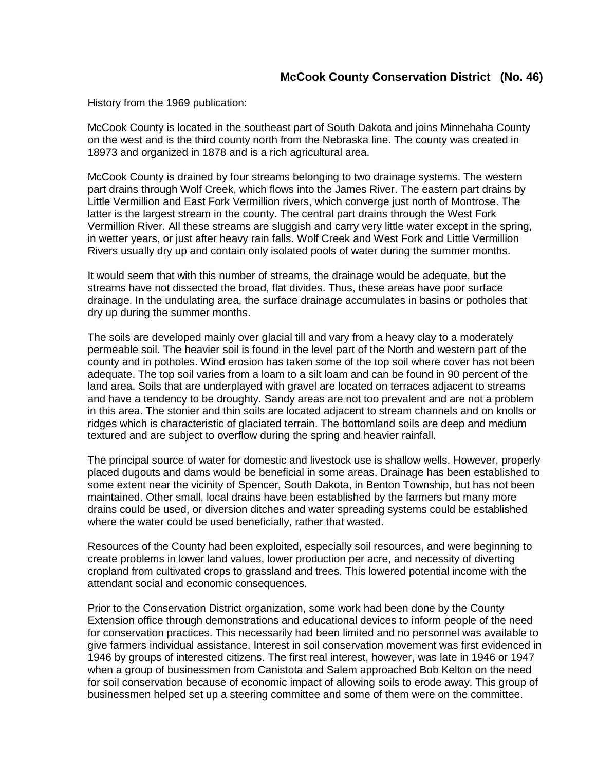History from the 1969 publication:

McCook County is located in the southeast part of South Dakota and joins Minnehaha County on the west and is the third county north from the Nebraska line. The county was created in 18973 and organized in 1878 and is a rich agricultural area.

McCook County is drained by four streams belonging to two drainage systems. The western part drains through Wolf Creek, which flows into the James River. The eastern part drains by Little Vermillion and East Fork Vermillion rivers, which converge just north of Montrose. The latter is the largest stream in the county. The central part drains through the West Fork Vermillion River. All these streams are sluggish and carry very little water except in the spring, in wetter years, or just after heavy rain falls. Wolf Creek and West Fork and Little Vermillion Rivers usually dry up and contain only isolated pools of water during the summer months.

It would seem that with this number of streams, the drainage would be adequate, but the streams have not dissected the broad, flat divides. Thus, these areas have poor surface drainage. In the undulating area, the surface drainage accumulates in basins or potholes that dry up during the summer months.

The soils are developed mainly over glacial till and vary from a heavy clay to a moderately permeable soil. The heavier soil is found in the level part of the North and western part of the county and in potholes. Wind erosion has taken some of the top soil where cover has not been adequate. The top soil varies from a loam to a silt loam and can be found in 90 percent of the land area. Soils that are underplayed with gravel are located on terraces adjacent to streams and have a tendency to be droughty. Sandy areas are not too prevalent and are not a problem in this area. The stonier and thin soils are located adjacent to stream channels and on knolls or ridges which is characteristic of glaciated terrain. The bottomland soils are deep and medium textured and are subject to overflow during the spring and heavier rainfall.

The principal source of water for domestic and livestock use is shallow wells. However, properly placed dugouts and dams would be beneficial in some areas. Drainage has been established to some extent near the vicinity of Spencer, South Dakota, in Benton Township, but has not been maintained. Other small, local drains have been established by the farmers but many more drains could be used, or diversion ditches and water spreading systems could be established where the water could be used beneficially, rather that wasted.

Resources of the County had been exploited, especially soil resources, and were beginning to create problems in lower land values, lower production per acre, and necessity of diverting cropland from cultivated crops to grassland and trees. This lowered potential income with the attendant social and economic consequences.

Prior to the Conservation District organization, some work had been done by the County Extension office through demonstrations and educational devices to inform people of the need for conservation practices. This necessarily had been limited and no personnel was available to give farmers individual assistance. Interest in soil conservation movement was first evidenced in 1946 by groups of interested citizens. The first real interest, however, was late in 1946 or 1947 when a group of businessmen from Canistota and Salem approached Bob Kelton on the need for soil conservation because of economic impact of allowing soils to erode away. This group of businessmen helped set up a steering committee and some of them were on the committee.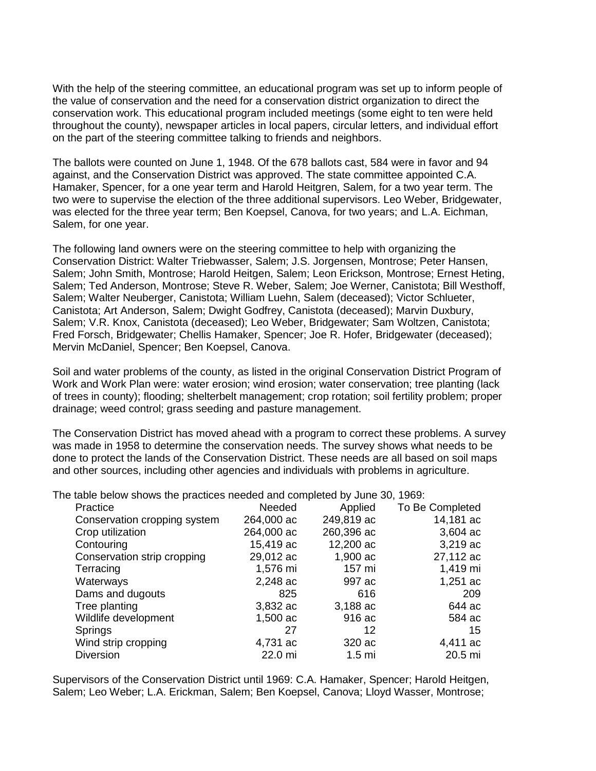With the help of the steering committee, an educational program was set up to inform people of the value of conservation and the need for a conservation district organization to direct the conservation work. This educational program included meetings (some eight to ten were held throughout the county), newspaper articles in local papers, circular letters, and individual effort on the part of the steering committee talking to friends and neighbors.

The ballots were counted on June 1, 1948. Of the 678 ballots cast, 584 were in favor and 94 against, and the Conservation District was approved. The state committee appointed C.A. Hamaker, Spencer, for a one year term and Harold Heitgren, Salem, for a two year term. The two were to supervise the election of the three additional supervisors. Leo Weber, Bridgewater, was elected for the three year term; Ben Koepsel, Canova, for two years; and L.A. Eichman, Salem, for one year.

The following land owners were on the steering committee to help with organizing the Conservation District: Walter Triebwasser, Salem; J.S. Jorgensen, Montrose; Peter Hansen, Salem; John Smith, Montrose; Harold Heitgen, Salem; Leon Erickson, Montrose; Ernest Heting, Salem; Ted Anderson, Montrose; Steve R. Weber, Salem; Joe Werner, Canistota; Bill Westhoff, Salem; Walter Neuberger, Canistota; William Luehn, Salem (deceased); Victor Schlueter, Canistota; Art Anderson, Salem; Dwight Godfrey, Canistota (deceased); Marvin Duxbury, Salem; V.R. Knox, Canistota (deceased); Leo Weber, Bridgewater; Sam Woltzen, Canistota; Fred Forsch, Bridgewater; Chellis Hamaker, Spencer; Joe R. Hofer, Bridgewater (deceased); Mervin McDaniel, Spencer; Ben Koepsel, Canova.

Soil and water problems of the county, as listed in the original Conservation District Program of Work and Work Plan were: water erosion; wind erosion; water conservation; tree planting (lack of trees in county); flooding; shelterbelt management; crop rotation; soil fertility problem; proper drainage; weed control; grass seeding and pasture management.

The Conservation District has moved ahead with a program to correct these problems. A survey was made in 1958 to determine the conservation needs. The survey shows what needs to be done to protect the lands of the Conservation District. These needs are all based on soil maps and other sources, including other agencies and individuals with problems in agriculture.

The table below shows the practices needed and completed by June 30, 1969:

| Practice                     | Needed     | Applied          | To Be Completed |
|------------------------------|------------|------------------|-----------------|
| Conservation cropping system | 264,000 ac | 249,819 ac       | 14,181 ac       |
| Crop utilization             | 264,000 ac | 260,396 ac       | $3,604$ ac      |
| Contouring                   | 15,419 ac  | 12,200 ac        | 3,219 ac        |
| Conservation strip cropping  | 29,012 ac  | 1,900 ac         | 27,112 ac       |
| Terracing                    | 1,576 mi   | 157 mi           | 1,419 mi        |
| Waterways                    | 2,248 ac   | 997 ac           | 1,251 $ac$      |
| Dams and dugouts             | 825        | 616              | 209             |
| Tree planting                | 3,832 ac   | 3,188 ac         | 644 ac          |
| Wildlife development         | 1,500 ac   | 916 ac           | 584 ac          |
| Springs                      | 27         | 12               | 15              |
| Wind strip cropping          | 4,731 ac   | 320 ac           | 4,411 ac        |
| <b>Diversion</b>             | 22.0 mi    | 1.5 <sub>m</sub> | 20.5 mi         |
|                              |            |                  |                 |

Supervisors of the Conservation District until 1969: C.A. Hamaker, Spencer; Harold Heitgen, Salem; Leo Weber; L.A. Erickman, Salem; Ben Koepsel, Canova; Lloyd Wasser, Montrose;